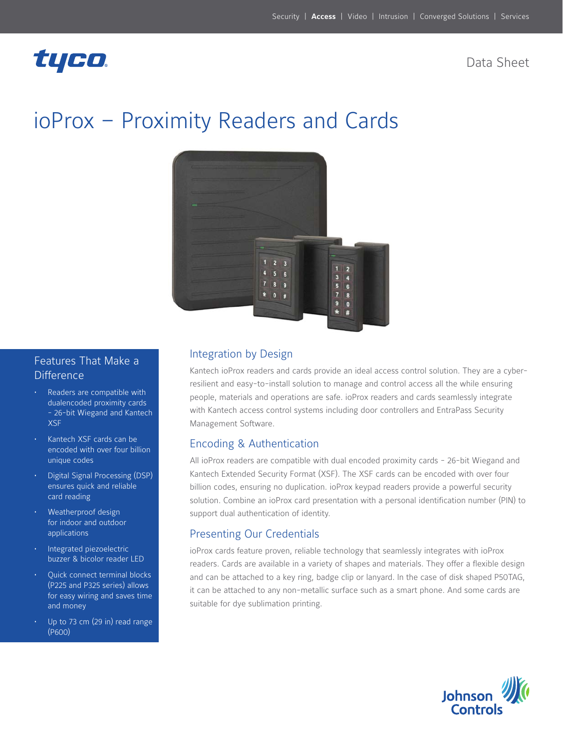# tyco.

Data Sheet

# ioProx – Proximity Readers and Cards



### Features That Make a **Difference**

- Readers are compatible with dualencoded proximity cards - 26-bit Wiegand and Kantech XSF
- Kantech XSF cards can be encoded with over four billion unique codes
- **Digital Signal Processing (DSP)** ensures quick and reliable card reading
- Weatherproof design for indoor and outdoor applications
- Integrated piezoelectric buzzer & bicolor reader LED
- Quick connect terminal blocks (P225 and P325 series) allows for easy wiring and saves time and money
- Up to 73 cm (29 in) read range (P600)

#### Integration by Design

Kantech ioProx readers and cards provide an ideal access control solution. They are a cyberresilient and easy-to-install solution to manage and control access all the while ensuring people, materials and operations are safe. ioProx readers and cards seamlessly integrate with Kantech access control systems including door controllers and EntraPass Security Management Software.

### Encoding & Authentication

All ioProx readers are compatible with dual encoded proximity cards - 26-bit Wiegand and Kantech Extended Security Format (XSF). The XSF cards can be encoded with over four billion codes, ensuring no duplication. ioProx keypad readers provide a powerful security solution. Combine an ioProx card presentation with a personal identification number (PIN) to support dual authentication of identity.

### Presenting Our Credentials

ioProx cards feature proven, reliable technology that seamlessly integrates with ioProx readers. Cards are available in a variety of shapes and materials. They offer a flexible design and can be attached to a key ring, badge clip or lanyard. In the case of disk shaped P50TAG, it can be attached to any non-metallic surface such as a smart phone. And some cards are suitable for dye sublimation printing.

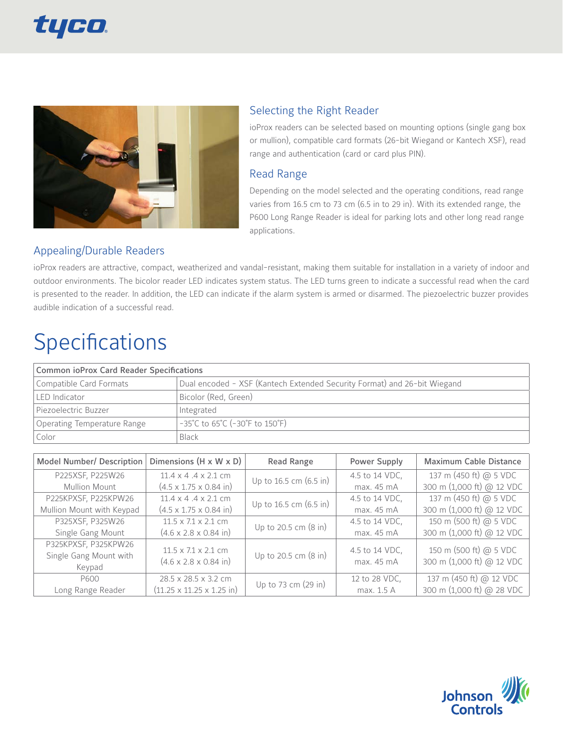



#### Selecting the Right Reader

ioProx readers can be selected based on mounting options (single gang box or mullion), compatible card formats (26-bit Wiegand or Kantech XSF), read range and authentication (card or card plus PIN).

#### Read Range

Depending on the model selected and the operating conditions, read range varies from 16.5 cm to 73 cm (6.5 in to 29 in). With its extended range, the P600 Long Range Reader is ideal for parking lots and other long read range applications.

# Appealing/Durable Readers

ioProx readers are attractive, compact, weatherized and vandal-resistant, making them suitable for installation in a variety of indoor and outdoor environments. The bicolor reader LED indicates system status. The LED turns green to indicate a successful read when the card is presented to the reader. In addition, the LED can indicate if the alarm system is armed or disarmed. The piezoelectric buzzer provides audible indication of a successful read.

# **Specifications**

| <b>Common ioProx Card Reader Specifications</b> |                                                                           |  |
|-------------------------------------------------|---------------------------------------------------------------------------|--|
| Compatible Card Formats                         | Dual encoded - XSF (Kantech Extended Security Format) and 26-bit Wiegand  |  |
| <b>LED</b> Indicator                            | Bicolor (Red, Green)                                                      |  |
| Piezoelectric Buzzer                            | Integrated                                                                |  |
| Operating Temperature Range                     | $-35^{\circ}$ C to 65 $^{\circ}$ C (-30 $^{\circ}$ F to 150 $^{\circ}$ F) |  |
| Color                                           | Black                                                                     |  |

| <b>Model Number/ Description</b> | Dimensions $(H \times W \times D)$            | <b>Read Range</b>      | Power Supply   | <b>Maximum Cable Distance</b> |
|----------------------------------|-----------------------------------------------|------------------------|----------------|-------------------------------|
| P225XSF, P225W26                 | $11.4 \times 4.4 \times 2.1$ cm               | Up to 16.5 cm (6.5 in) | 4.5 to 14 VDC, | 137 m (450 ft) @ 5 VDC        |
| <b>Mullion Mount</b>             | $(4.5 \times 1.75 \times 0.84 \text{ in})$    |                        | max. 45 mA     | 300 m (1,000 ft) @ 12 VDC     |
| P225KPXSF, P225KPW26             | $11.4 \times 4.4 \times 2.1$ cm               | Up to 16.5 cm (6.5 in) | 4.5 to 14 VDC, | 137 m (450 ft) @ 5 VDC        |
| Mullion Mount with Keypad        | $(4.5 \times 1.75 \times 0.84 \text{ in})$    |                        | max. 45 mA     | 300 m (1,000 ft) @ 12 VDC     |
| P325XSF, P325W26                 | $11.5 \times 7.1 \times 2.1$ cm               | Up to 20.5 cm (8 in)   | 4.5 to 14 VDC, | 150 m (500 ft) @ 5 VDC        |
| Single Gang Mount                | $(4.6 \times 2.8 \times 0.84 \text{ in})$     |                        | max. 45 mA     | 300 m (1,000 ft) @ 12 VDC     |
| P325KPXSF, P325KPW26             | $11.5 \times 7.1 \times 2.1$ cm               | Up to 20.5 cm (8 in)   | 4.5 to 14 VDC, | 150 m (500 ft) @ 5 VDC        |
| Single Gang Mount with           | $(4.6 \times 2.8 \times 0.84 \text{ in})$     |                        | max. 45 mA     | 300 m (1,000 ft) @ 12 VDC     |
| Keypad                           |                                               |                        |                |                               |
| P600                             | 28.5 x 28.5 x 3.2 cm                          |                        | 12 to 28 VDC,  | 137 m (450 ft) @ 12 VDC       |
| Long Range Reader                | $(11.25 \times 11.25 \times 1.25 \text{ in})$ | Up to 73 cm (29 in)    | max. 1.5 A     | 300 m (1,000 ft) @ 28 VDC     |